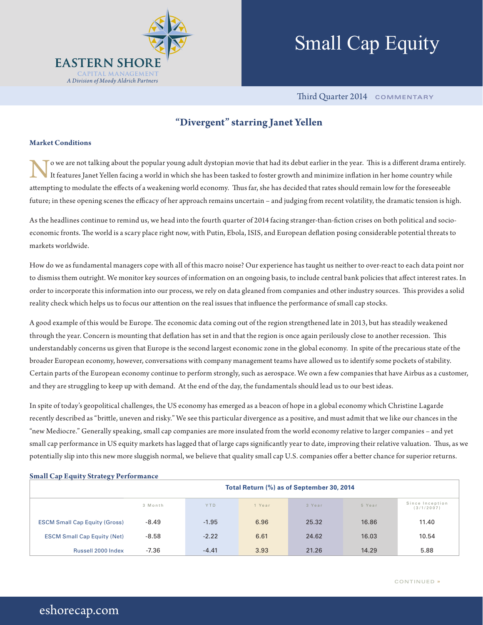

# Small Cap Equity

Third Quarter 2014 **COMMENTARY**

### **"Divergent" starring Janet Yellen**

#### **Market Conditions**

o we are not talking about the popular young adult dystopian movie that had its debut earlier in the year. This is a different drama entirely. It features Janet Yellen facing a world in which she has been tasked to foster growth and minimize inflation in her home country while attempting to modulate the effects of a weakening world economy. Thus far, she has decided that rates should remain low for the foreseeable future; in these opening scenes the efficacy of her approach remains uncertain – and judging from recent volatility, the dramatic tension is high.

As the headlines continue to remind us, we head into the fourth quarter of 2014 facing stranger-than-fiction crises on both political and socioeconomic fronts. The world is a scary place right now, with Putin, Ebola, ISIS, and European deflation posing considerable potential threats to markets worldwide.

How do we as fundamental managers cope with all of this macro noise? Our experience has taught us neither to over-react to each data point nor to dismiss them outright. We monitor key sources of information on an ongoing basis, to include central bank policies that affect interest rates. In order to incorporate this information into our process, we rely on data gleaned from companies and other industry sources. This provides a solid reality check which helps us to focus our attention on the real issues that influence the performance of small cap stocks.

A good example of this would be Europe. The economic data coming out of the region strengthened late in 2013, but has steadily weakened through the year. Concern is mounting that deflation has set in and that the region is once again perilously close to another recession. This understandably concerns us given that Europe is the second largest economic zone in the global economy. In spite of the precarious state of the broader European economy, however, conversations with company management teams have allowed us to identify some pockets of stability. Certain parts of the European economy continue to perform strongly, such as aerospace. We own a few companies that have Airbus as a customer, and they are struggling to keep up with demand. At the end of the day, the fundamentals should lead us to our best ideas.

In spite of today's geopolitical challenges, the US economy has emerged as a beacon of hope in a global economy which Christine Lagarde recently described as "brittle, uneven and risky." We see this particular divergence as a positive, and must admit that we like our chances in the "new Mediocre." Generally speaking, small cap companies are more insulated from the world economy relative to larger companies – and yet small cap performance in US equity markets has lagged that of large caps significantly year to date, improving their relative valuation. Thus, as we potentially slip into this new more sluggish normal, we believe that quality small cap U.S. companies offer a better chance for superior returns.

| oman Cap Equity Strategy I criticiance | Total Return (%) as of September 30, 2014 |            |        |        |        |                               |
|----------------------------------------|-------------------------------------------|------------|--------|--------|--------|-------------------------------|
|                                        | 3 Month                                   | <b>YTD</b> | 1 Year | 3 Year | 5 Year | Since Inception<br>(3/1/2007) |
| <b>ESCM Small Cap Equity (Gross)</b>   | $-8.49$                                   | $-1.95$    | 6.96   | 25.32  | 16.86  | 11.40                         |
| <b>ESCM Small Cap Equity (Net)</b>     | $-8.58$                                   | $-2.22$    | 6.61   | 24.62  | 16.03  | 10.54                         |
| Russell 2000 Index                     | $-7.36$                                   | $-4.41$    | 3.93   | 21.26  | 14.29  | 5.88                          |

#### **Small Cap Equity Strategy Performance**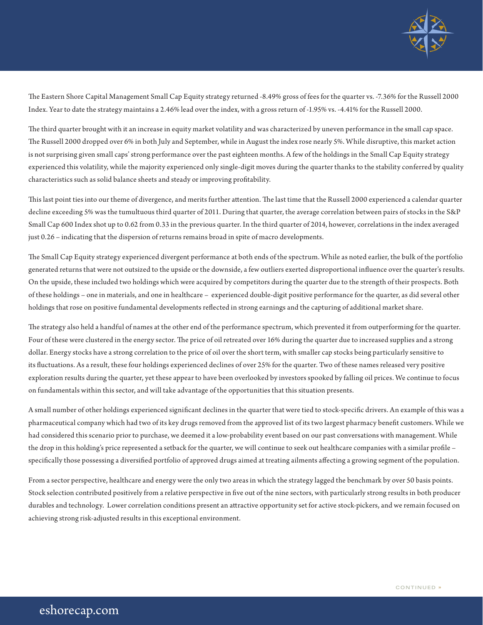

The Eastern Shore Capital Management Small Cap Equity strategy returned -8.49% gross of fees for the quarter vs. -7.36% for the Russell 2000 Index. Year to date the strategy maintains a 2.46% lead over the index, with a gross return of -1.95% vs. -4.41% for the Russell 2000.

The third quarter brought with it an increase in equity market volatility and was characterized by uneven performance in the small cap space. The Russell 2000 dropped over 6% in both July and September, while in August the index rose nearly 5%. While disruptive, this market action is not surprising given small caps' strong performance over the past eighteen months. A few of the holdings in the Small Cap Equity strategy experienced this volatility, while the majority experienced only single-digit moves during the quarter thanks to the stability conferred by quality characteristics such as solid balance sheets and steady or improving profitability.

This last point ties into our theme of divergence, and merits further attention. The last time that the Russell 2000 experienced a calendar quarter decline exceeding 5% was the tumultuous third quarter of 2011. During that quarter, the average correlation between pairs of stocks in the S&P Small Cap 600 Index shot up to 0.62 from 0.33 in the previous quarter. In the third quarter of 2014, however, correlations in the index averaged just 0.26 – indicating that the dispersion of returns remains broad in spite of macro developments.

The Small Cap Equity strategy experienced divergent performance at both ends of the spectrum. While as noted earlier, the bulk of the portfolio generated returns that were not outsized to the upside or the downside, a few outliers exerted disproportional influence over the quarter's results. On the upside, these included two holdings which were acquired by competitors during the quarter due to the strength of their prospects. Both of these holdings – one in materials, and one in healthcare – experienced double-digit positive performance for the quarter, as did several other holdings that rose on positive fundamental developments reflected in strong earnings and the capturing of additional market share.

The strategy also held a handful of names at the other end of the performance spectrum, which prevented it from outperforming for the quarter. Four of these were clustered in the energy sector. The price of oil retreated over 16% during the quarter due to increased supplies and a strong dollar. Energy stocks have a strong correlation to the price of oil over the short term, with smaller cap stocks being particularly sensitive to its fluctuations. As a result, these four holdings experienced declines of over 25% for the quarter. Two of these names released very positive exploration results during the quarter, yet these appear to have been overlooked by investors spooked by falling oil prices. We continue to focus on fundamentals within this sector, and will take advantage of the opportunities that this situation presents.

A small number of other holdings experienced significant declines in the quarter that were tied to stock-specific drivers. An example of this was a pharmaceutical company which had two of its key drugs removed from the approved list of its two largest pharmacy benefit customers. While we had considered this scenario prior to purchase, we deemed it a low-probability event based on our past conversations with management. While the drop in this holding's price represented a setback for the quarter, we will continue to seek out healthcare companies with a similar profile – specifically those possessing a diversified portfolio of approved drugs aimed at treating ailments affecting a growing segment of the population.

From a sector perspective, healthcare and energy were the only two areas in which the strategy lagged the benchmark by over 50 basis points. Stock selection contributed positively from a relative perspective in five out of the nine sectors, with particularly strong results in both producer durables and technology. Lower correlation conditions present an attractive opportunity set for active stock-pickers, and we remain focused on achieving strong risk-adjusted results in this exceptional environment.